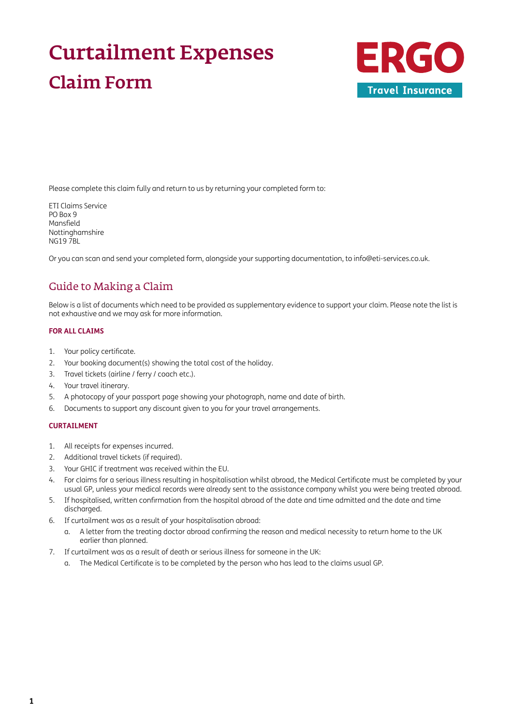# Curtailment Expenses Claim Form



Please complete this claim fully and return to us by returning your completed form to:

ETI Claims Service PO Box 9 Mansfield Nottinghamshire NG19 7BL

Or you can scan and send your completed form, alongside your supporting documentation, to [info@eti-services.co.uk.](mailto:info%40eti-services.co.uk?subject=)

### Guide to Making a Claim

Below is a list of documents which need to be provided as supplementary evidence to support your claim. Please note the list is not exhaustive and we may ask for more information.

#### **FOR ALL CLAIMS**

- 1. Your policy certificate.
- 2. Your booking document(s) showing the total cost of the holiday.
- 3. Travel tickets (airline / ferry / coach etc.).
- 4. Your travel itinerary.
- 5. A photocopy of your passport page showing your photograph, name and date of birth.
- 6. Documents to support any discount given to you for your travel arrangements.

#### **CURTAILMENT**

- 1. All receipts for expenses incurred.
- 2. Additional travel tickets (if required).
- 3. Your GHIC if treatment was received within the EU.
- 4. For claims for a serious illness resulting in hospitalisation whilst abroad, the Medical Certificate must be completed by your usual GP, unless your medical records were already sent to the assistance company whilst you were being treated abroad.
- 5. If hospitalised, written confirmation from the hospital abroad of the date and time admitted and the date and time discharged.
- 6. If curtailment was as a result of your hospitalisation abroad:
	- a. A letter from the treating doctor abroad confirming the reason and medical necessity to return home to the UK earlier than planned.
- 7. If curtailment was as a result of death or serious illness for someone in the UK:
	- a. The Medical Certificate is to be completed by the person who has lead to the claims usual GP.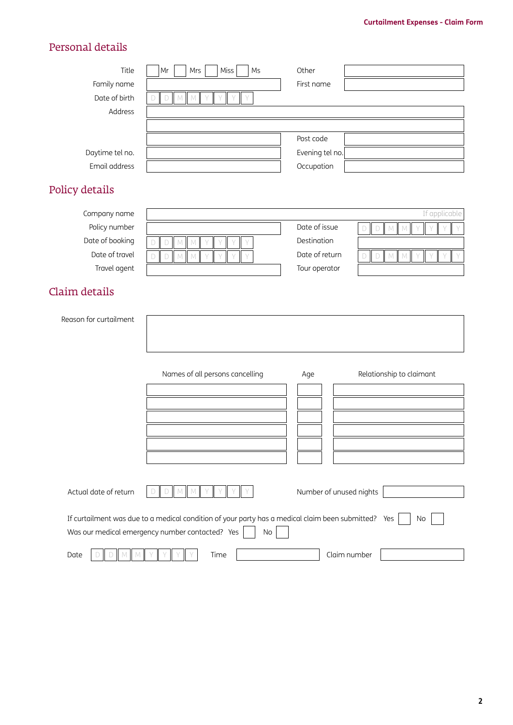# Personal details

| Personal details       |                                                                                                                                                              |                         |                             |
|------------------------|--------------------------------------------------------------------------------------------------------------------------------------------------------------|-------------------------|-----------------------------|
| Title                  | Miss<br>Ms<br>Mr<br>Mrs                                                                                                                                      | Other                   |                             |
| Family name            |                                                                                                                                                              | First name              |                             |
| Date of birth          | $D$ $M$ $M$                                                                                                                                                  |                         |                             |
| Address                |                                                                                                                                                              |                         |                             |
|                        |                                                                                                                                                              |                         |                             |
|                        |                                                                                                                                                              | Post code               |                             |
| Daytime tel no.        |                                                                                                                                                              | Evening tel no.         |                             |
| Email address          |                                                                                                                                                              | Occupation              |                             |
| Policy details         |                                                                                                                                                              |                         |                             |
| Company name           |                                                                                                                                                              |                         | If applicable               |
| Policy number          |                                                                                                                                                              | Date of issue           | $D$ $M$<br>$\mathbb N$<br>D |
| Date of booking        | M<br>M                                                                                                                                                       | Destination             |                             |
| Date of travel         | M<br>D<br>D<br>M                                                                                                                                             | Date of return          | $D$ $M$<br>M<br>D           |
| Travel agent           |                                                                                                                                                              | Tour operator           |                             |
| Claim details          |                                                                                                                                                              |                         |                             |
| Reason for curtailment |                                                                                                                                                              |                         |                             |
|                        |                                                                                                                                                              |                         |                             |
|                        |                                                                                                                                                              |                         |                             |
|                        | Names of all persons cancelling                                                                                                                              | Age                     | Relationship to claimant    |
|                        |                                                                                                                                                              |                         |                             |
|                        |                                                                                                                                                              |                         |                             |
|                        |                                                                                                                                                              |                         |                             |
|                        |                                                                                                                                                              |                         |                             |
|                        |                                                                                                                                                              |                         |                             |
|                        |                                                                                                                                                              |                         |                             |
| Actual date of return  |                                                                                                                                                              | Number of unused nights |                             |
|                        | If curtailment was due to a medical condition of your party has a medical claim been submitted? Yes<br>Was our medical emergency number contacted? Yes<br>No |                         | No                          |
| Date                   | Time                                                                                                                                                         | Claim number            |                             |
|                        |                                                                                                                                                              |                         |                             |
|                        |                                                                                                                                                              |                         |                             |
|                        |                                                                                                                                                              |                         |                             |
|                        |                                                                                                                                                              |                         |                             |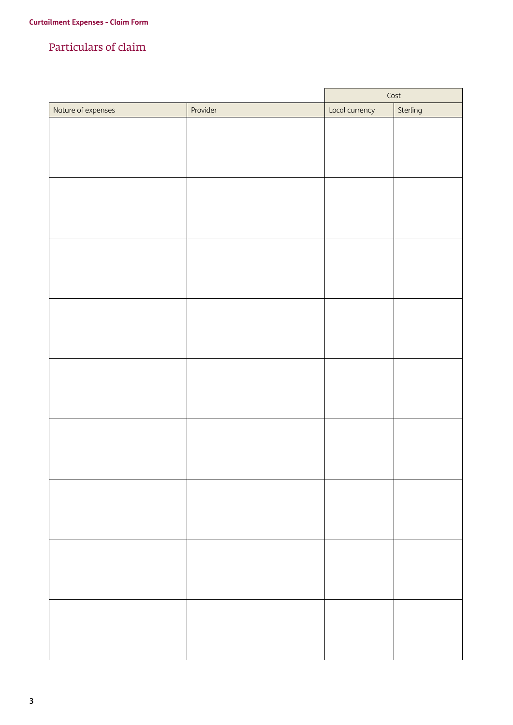### Particulars of claim

|                    |          |                | Cost     |
|--------------------|----------|----------------|----------|
| Nature of expenses | Provider | Local currency | Sterling |
|                    |          |                |          |
|                    |          |                |          |
|                    |          |                |          |
|                    |          |                |          |
|                    |          |                |          |
|                    |          |                |          |
|                    |          |                |          |
|                    |          |                |          |
|                    |          |                |          |
|                    |          |                |          |
|                    |          |                |          |
|                    |          |                |          |
|                    |          |                |          |
|                    |          |                |          |
|                    |          |                |          |
|                    |          |                |          |
|                    |          |                |          |
|                    |          |                |          |
|                    |          |                |          |
|                    |          |                |          |
|                    |          |                |          |
|                    |          |                |          |
|                    |          |                |          |
|                    |          |                |          |
|                    |          |                |          |
|                    |          |                |          |
|                    |          |                |          |
|                    |          |                |          |
|                    |          |                |          |
|                    |          |                |          |
|                    |          |                |          |
|                    |          |                |          |
|                    |          |                |          |
|                    |          |                |          |
|                    |          |                |          |
|                    |          |                |          |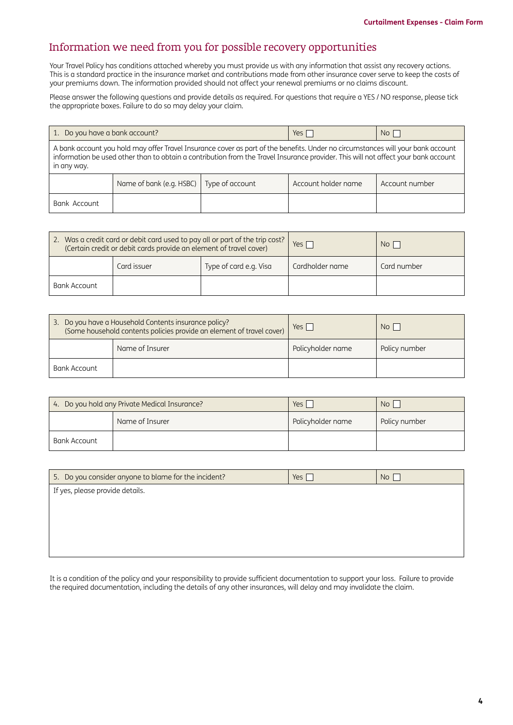### Information we need from you for possible recovery opportunities

Your Travel Policy has conditions attached whereby you must provide us with any information that assist any recovery actions. This is a standard practice in the insurance market and contributions made from other insurance cover serve to keep the costs of your premiums down. The information provided should not affect your renewal premiums or no claims discount.

Please answer the following questions and provide details as required. For questions that require a YES / NO response, please tick the appropriate boxes. Failure to do so may delay your claim.

| 1. Do you have a bank account?                                                                                                                                                                                                                                                       |                          |                 | Yes $\Box$          | No <sub>1</sub> |
|--------------------------------------------------------------------------------------------------------------------------------------------------------------------------------------------------------------------------------------------------------------------------------------|--------------------------|-----------------|---------------------|-----------------|
| A bank account you hold may offer Travel Insurance cover as part of the benefits. Under no circumstances will your bank account<br>information be used other than to obtain a contribution from the Travel Insurance provider. This will not affect your bank account<br>in any way. |                          |                 |                     |                 |
|                                                                                                                                                                                                                                                                                      | Name of bank (e.g. HSBC) | Type of account | Account holder name | Account number  |
| Bank Account                                                                                                                                                                                                                                                                         |                          |                 |                     |                 |

| 2. Was a credit card or debit card used to pay all or part of the trip cost?<br>(Certain credit or debit cards provide an element of travel cover) |             | Yes <sub>[</sub>       | No I            |             |
|----------------------------------------------------------------------------------------------------------------------------------------------------|-------------|------------------------|-----------------|-------------|
|                                                                                                                                                    | Card issuer | Type of card e.g. Visa | Cardholder name | Card number |
| Bank Account                                                                                                                                       |             |                        |                 |             |

| 3. Do you have a Household Contents insurance policy?<br>(Some household contents policies provide an element of travel cover) |                 | $Yes \mid$        | No <sub>1</sub> |
|--------------------------------------------------------------------------------------------------------------------------------|-----------------|-------------------|-----------------|
|                                                                                                                                | Name of Insurer | Policyholder name | Policy number   |
| Bank Account                                                                                                                   |                 |                   |                 |

| 4. Do you hold any Private Medical Insurance? |                 | Yes,              | No I          |
|-----------------------------------------------|-----------------|-------------------|---------------|
|                                               | Name of Insurer | Policyholder name | Policy number |
| Bank Account                                  |                 |                   |               |

| 5. Do you consider anyone to blame for the incident?<br>Yes $\sqrt{}$<br>No |  |  |
|-----------------------------------------------------------------------------|--|--|
| If yes, please provide details.                                             |  |  |
|                                                                             |  |  |
|                                                                             |  |  |
|                                                                             |  |  |
|                                                                             |  |  |

It is a condition of the policy and your responsibility to provide sufficient documentation to support your loss. Failure to provide the required documentation, including the details of any other insurances, will delay and may invalidate the claim.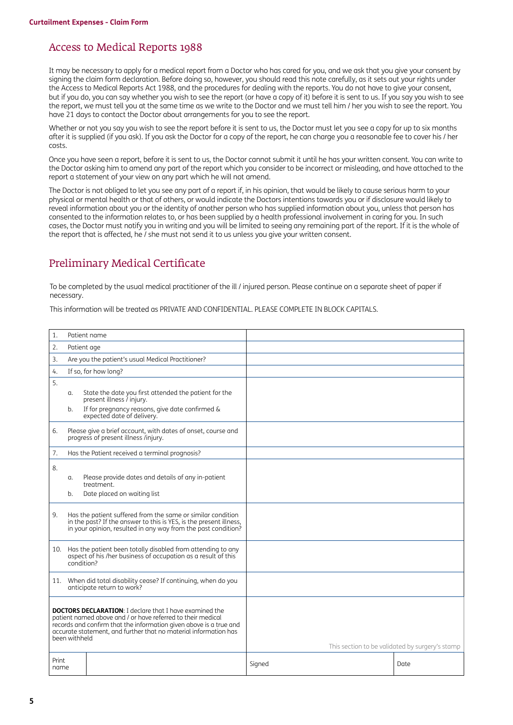### Access to Medical Reports 1988

It may be necessary to apply for a medical report from a Doctor who has cared for you, and we ask that you give your consent by signing the claim form declaration. Before doing so, however, you should read this note carefully, as it sets out your rights under the Access to Medical Reports Act 1988, and the procedures for dealing with the reports. You do not have to give your consent, but if you do, you can say whether you wish to see the report (or have a copy of it) before it is sent to us. If you say you wish to see the report, we must tell you at the same time as we write to the Doctor and we must tell him / her you wish to see the report. You have 21 days to contact the Doctor about arrangements for you to see the report.

Whether or not you say you wish to see the report before it is sent to us, the Doctor must let you see a copy for up to six months after it is supplied (if you ask). If you ask the Doctor for a copy of the report, he can charge you a reasonable fee to cover his / her costs.

Once you have seen a report, before it is sent to us, the Doctor cannot submit it until he has your written consent. You can write to the Doctor asking him to amend any part of the report which you consider to be incorrect or misleading, and have attached to the report a statement of your view on any part which he will not amend.

The Doctor is not obliged to let you see any part of a report if, in his opinion, that would be likely to cause serious harm to your physical or mental health or that of others, or would indicate the Doctors intentions towards you or if disclosure would likely to reveal information about you or the identity of another person who has supplied information about you, unless that person has consented to the information relates to, or has been supplied by a health professional involvement in caring for you. In such cases, the Doctor must notify you in writing and you will be limited to seeing any remaining part of the report. If it is the whole of the report that is affected, he / she must not send it to us unless you give your written consent.

### Preliminary Medical Certificate

To be completed by the usual medical practitioner of the ill / injured person. Please continue on a separate sheet of paper if necessary.

This information will be treated as PRIVATE AND CONFIDENTIAL. PLEASE COMPLETE IN BLOCK CAPITALS.

| 1.            |                                                   | Patient name                                                                                                                                                                                                                                                            |        |                                                 |
|---------------|---------------------------------------------------|-------------------------------------------------------------------------------------------------------------------------------------------------------------------------------------------------------------------------------------------------------------------------|--------|-------------------------------------------------|
| 2.            | Patient age                                       |                                                                                                                                                                                                                                                                         |        |                                                 |
| 3.            | Are you the patient's usual Medical Practitioner? |                                                                                                                                                                                                                                                                         |        |                                                 |
| 4.            |                                                   | If so, for how long?                                                                                                                                                                                                                                                    |        |                                                 |
| 5.            |                                                   |                                                                                                                                                                                                                                                                         |        |                                                 |
|               | α.                                                | State the date you first attended the patient for the<br>present illness / injury.                                                                                                                                                                                      |        |                                                 |
|               | b.                                                | If for pregnancy reasons, give date confirmed &<br>expected date of delivery.                                                                                                                                                                                           |        |                                                 |
| 6.            |                                                   | Please give a brief account, with dates of onset, course and<br>progress of present illness /injury.                                                                                                                                                                    |        |                                                 |
| 7.            |                                                   | Has the Patient received a terminal prognosis?                                                                                                                                                                                                                          |        |                                                 |
| 8.            | a.<br>b.                                          | Please provide dates and details of any in-patient<br>treatment.<br>Date placed on waiting list                                                                                                                                                                         |        |                                                 |
| 9.            |                                                   | Has the patient suffered from the same or similar condition<br>in the past? If the answer to this is YES, is the present illness,<br>in your opinion, resulted in any way from the past condition?                                                                      |        |                                                 |
|               | condition?                                        | 10. Has the patient been totally disabled from attending to any<br>aspect of his /her business of occupation as a result of this                                                                                                                                        |        |                                                 |
|               |                                                   | 11. When did total disability cease? If continuing, when do you<br>anticipate return to work?                                                                                                                                                                           |        |                                                 |
|               | been withheld                                     | <b>DOCTORS DECLARATION:</b> I declare that I have examined the<br>patient named above and / or have referred to their medical<br>records and confirm that the information given above is a true and<br>accurate statement, and further that no material information has |        | This section to be validated by surgery's stamp |
| Print<br>name |                                                   |                                                                                                                                                                                                                                                                         | Signed | Date                                            |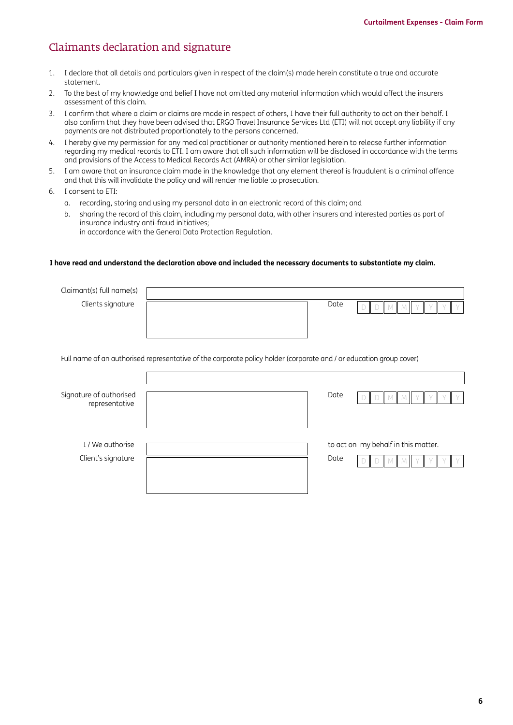### Claimants declaration and signature

- 1. I declare that all details and particulars given in respect of the claim(s) made herein constitute a true and accurate statement.
- 2. To the best of my knowledge and belief I have not omitted any material information which would affect the insurers assessment of this claim.
- 3. I confirm that where a claim or claims are made in respect of others, I have their full authority to act on their behalf. I also confirm that they have been advised that ERGO Travel Insurance Services Ltd (ETI) will not accept any liability if any payments are not distributed proportionately to the persons concerned.
- 4. I hereby give my permission for any medical practitioner or authority mentioned herein to release further information regarding my medical records to ETI. I am aware that all such information will be disclosed in accordance with the terms and provisions of the Access to Medical Records Act (AMRA) or other similar legislation.
- 5. I am aware that an insurance claim made in the knowledge that any element thereof is fraudulent is a criminal offence and that this will invalidate the policy and will render me liable to prosecution.
- 6. I consent to ETI:
	- a. recording, storing and using my personal data in an electronic record of this claim; and
	- b. sharing the record of this claim, including my personal data, with other insurers and interested parties as part of insurance industry anti-fraud initiatives; in accordance with the General Data Protection Regulation.

#### **I have read and understand the declaration above and included the necessary documents to substantiate my claim.**

| Claimant(s) full name(s) |                                                                                                                     |  |
|--------------------------|---------------------------------------------------------------------------------------------------------------------|--|
| Clients signature        | Date<br>D                                                                                                           |  |
|                          |                                                                                                                     |  |
|                          |                                                                                                                     |  |
|                          |                                                                                                                     |  |
|                          | Full name of an authorised representative of the corporate policy holder (corporate and / or education group cover) |  |
|                          |                                                                                                                     |  |
| Signature of authorised  | Date                                                                                                                |  |
| representative           |                                                                                                                     |  |
|                          |                                                                                                                     |  |
|                          |                                                                                                                     |  |
| I / We authorise         | to act on my behalf in this matter.                                                                                 |  |
| Client's signature       | Date                                                                                                                |  |
|                          |                                                                                                                     |  |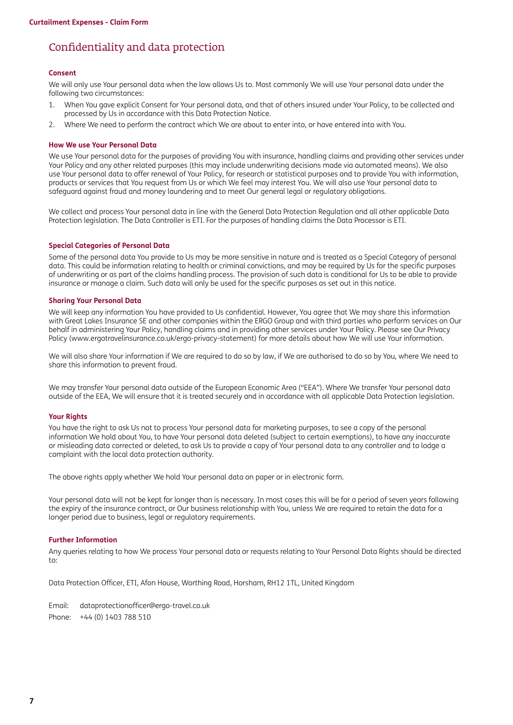### Confidentiality and data protection

#### **Consent**

We will only use Your personal data when the law allows Us to. Most commonly We will use Your personal data under the following two circumstances:

- 1. When You gave explicit Consent for Your personal data, and that of others insured under Your Policy, to be collected and processed by Us in accordance with this Data Protection Notice.
- 2. Where We need to perform the contract which We are about to enter into, or have entered into with You.

#### **How We use Your Personal Data**

We use Your personal data for the purposes of providing You with insurance, handling claims and providing other services under Your Policy and any other related purposes (this may include underwriting decisions made via automated means). We also use Your personal data to offer renewal of Your Policy, for research or statistical purposes and to provide You with information, products or services that You request from Us or which We feel may interest You. We will also use Your personal data to safeguard against fraud and money laundering and to meet Our general legal or regulatory obligations.

We collect and process Your personal data in line with the General Data Protection Regulation and all other applicable Data Protection legislation. The Data Controller is ETI. For the purposes of handling claims the Data Processor is ETI.

#### **Special Categories of Personal Data**

Some of the personal data You provide to Us may be more sensitive in nature and is treated as a Special Category of personal data. This could be information relating to health or criminal convictions, and may be required by Us for the specific purposes of underwriting or as part of the claims handling process. The provision of such data is conditional for Us to be able to provide insurance or manage a claim. Such data will only be used for the specific purposes as set out in this notice.

#### **Sharing Your Personal Data**

We will keep any information You have provided to Us confidential. However, You agree that We may share this information with Great Lakes Insurance SE and other companies within the ERGO Group and with third parties who perform services on Our behalf in administering Your Policy, handling claims and in providing other services under Your Policy. Please see Our Privacy Policy [\(www.ergotravelinsurance.co.uk/ergo-privacy-statement](http://www.ergotravelinsurance.co.uk/ergo-privacy-statement)) for more details about how We will use Your information.

We will also share Your information if We are required to do so by law, if We are authorised to do so by You, where We need to share this information to prevent fraud.

We may transfer Your personal data outside of the European Economic Area ("EEA"). Where We transfer Your personal data outside of the EEA, We will ensure that it is treated securely and in accordance with all applicable Data Protection legislation.

#### **Your Rights**

You have the right to ask Us not to process Your personal data for marketing purposes, to see a copy of the personal information We hold about You, to have Your personal data deleted (subject to certain exemptions), to have any inaccurate or misleading data corrected or deleted, to ask Us to provide a copy of Your personal data to any controller and to lodge a complaint with the local data protection authority.

The above rights apply whether We hold Your personal data on paper or in electronic form.

Your personal data will not be kept for longer than is necessary. In most cases this will be for a period of seven years following the expiry of the insurance contract, or Our business relationship with You, unless We are required to retain the data for a longer period due to business, legal or regulatory requirements.

#### **Further Information**

Any queries relating to how We process Your personal data or requests relating to Your Personal Data Rights should be directed to:

Data Protection Officer, ETI, Afon House, Worthing Road, Horsham, RH12 1TL, United Kingdom

Email: [dataprotectionofficer@ergo-travel.co.uk](mailto:dataprotectionofficer%40ergo-travel.co.uk?subject=) Phone: +44 (0) 1403 788 510